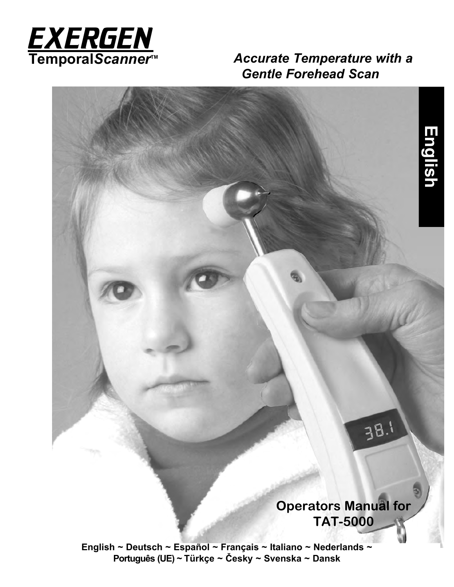

**Accurate Temperature with a**  *Gentle Forehead Scan*

**English**

# **Operators Manual for TAT-5000**

 $3B.1$ 

**English ~ Deutsch ~ Español ~ Français ~ Italiano ~ Nederlands ~ Português (UE) ~ Türkçe ~ Česky ~ Svenska ~ Dansk**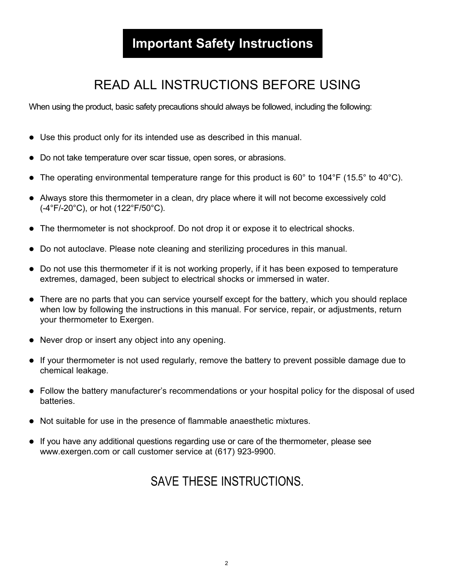# **Important Safety Instructions**

# READ ALL INSTRUCTIONS BEFORE USING

When using the product, basic safety precautions should always be followed, including the following:

- Use this product only for its intended use as described in this manual.
- Do not take temperature over scar tissue, open sores, or abrasions.
- The operating environmental temperature range for this product is  $60^{\circ}$  to  $104^{\circ}$ F (15.5° to  $40^{\circ}$ C).
- Always store this thermometer in a clean, dry place where it will not become excessively cold (-4°F/-20°C), or hot (122°F/50°C).
- The thermometer is not shockproof. Do not drop it or expose it to electrical shocks.
- Do not autoclave. Please note cleaning and sterilizing procedures in this manual.
- Do not use this thermometer if it is not working properly, if it has been exposed to temperature extremes, damaged, been subject to electrical shocks or immersed in water.
- There are no parts that you can service yourself except for the battery, which you should replace when low by following the instructions in this manual. For service, repair, or adjustments, return your thermometer to Exergen.
- Never drop or insert any object into any opening.
- $\bullet$  If your thermometer is not used regularly, remove the battery to prevent possible damage due to chemical leakage.
- Follow the battery manufacturer's recommendations or your hospital policy for the disposal of used batteries.
- l Not suitable for use in the presence of flammable anaesthetic mixtures.
- $\bullet$  If you have any additional questions regarding use or care of the thermometer, please see www.exergen.com or call customer service at (617) 923-9900.

# SAVE THESE INSTRUCTIONS.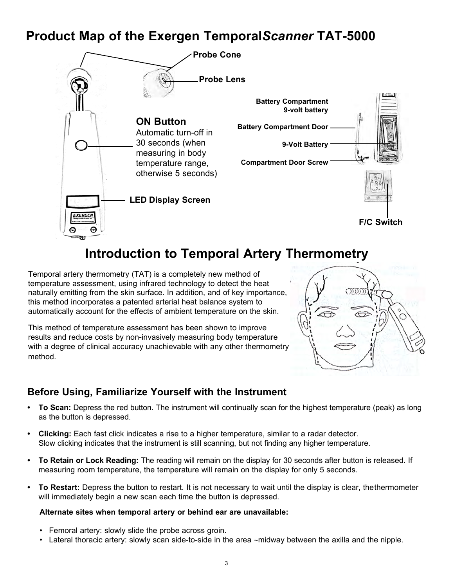# **Product Map of the Exergen Temporal***Scanner* **TAT-5000**



# **Introduction to Temporal Artery Thermometry**

Temporal artery thermometry (TAT) is a completely new method of temperature assessment, using infrared technology to detect the heat naturally emitting from the skin surface. In addition, and of key importance, this method incorporates a patented arterial heat balance system to automatically account for the effects of ambient temperature on the skin.

This method of temperature assessment has been shown to improve results and reduce costs by non-invasively measuring body temperature with a degree of clinical accuracy unachievable with any other thermometry method.

# Õ

## **Before Using, Familiarize Yourself with the Instrument**

- **• To Scan:** Depress the red button. The instrument will continually scan for the highest temperature (peak) as long as the button is depressed.
- **• Clicking:** Each fast click indicates a rise to a higher temperature, similar to a radar detector. Slow clicking indicates that the instrument is still scanning, but not finding any higher temperature.
- **• To Retain or Lock Reading:** The reading will remain on the display for 30 seconds after button is released. If measuring room temperature, the temperature will remain on the display for only 5 seconds.
- **• To Restart:** Depress the button to restart. It is not necessary to wait until the display is clear, thethermometer will immediately begin a new scan each time the button is depressed.

### **Alternate sites when temporal artery or behind ear are unavailable:**

- Femoral artery: slowly slide the probe across groin.
- Lateral thoracic artery: slowly scan side-to-side in the area ~midway between the axilla and the nipple.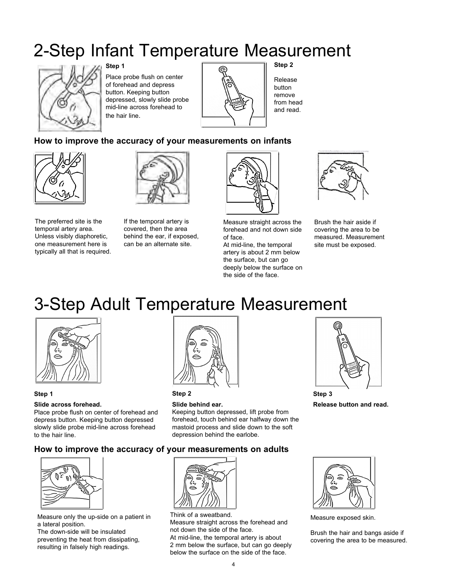# 2-Step Infant Temperature Measurement



**Step 1**

Place probe flush on center of forehead and depress button. Keeping button depressed, slowly slide probe mid-line across forehead to the hair line.



**Step 2**

Release button remove from head and read.

### **How to improve the accuracy of your measurements on infants**



The preferred site is the temporal artery area. Unless visibly diaphoretic, one measurement here is typically all that is required.



If the temporal artery is covered, then the area behind the ear, if exposed, can be an alternate site.



Measure straight across the forehead and not down side of face.

At mid-line, the temporal artery is about 2 mm below the surface, but can go deeply below the surface on the side of the face.



Brush the hair aside if covering the area to be measured. Measurement site must be exposed.

# 3-Step Adult Temperature Measurement



**Step 1**

### **Slide across forehead.**

Place probe flush on center of forehead and depress button. Keeping button depressed slowly slide probe mid-line across forehead to the hair line.



**Step 2**

### **Slide behind ear.** Keeping button depressed, lift probe from

forehead, touch behind ear halfway down the mastoid process and slide down to the soft depression behind the earlobe.



**Release button and read.**

### **How to improve the accuracy of your measurements on adults**



Measure only the up-side on a patient in a lateral position.

The down-side will be insulated preventing the heat from dissipating, resulting in falsely high readings.



Think of a sweatband. Measure straight across the forehead and not down the side of the face. At mid-line, the temporal artery is about

2 mm below the surface, but can go deeply below the surface on the side of the face.



Measure exposed skin.

Brush the hair and bangs aside if covering the area to be measured.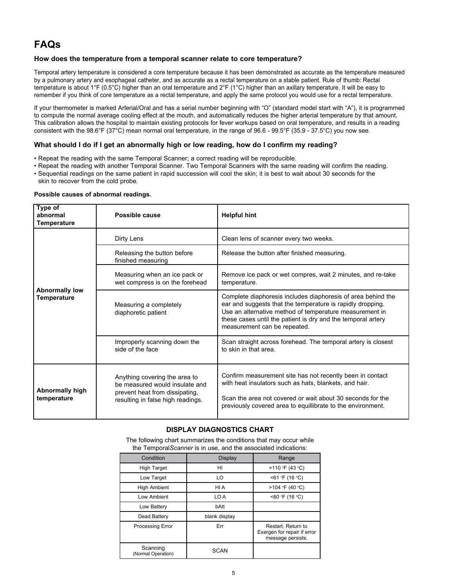# **FAQs**

### **How does the temperature from a temporal scanner relate to core temperature?**

Temporal artery temperature is considered a core temperature because it has been demonstrated as accurate as the temperature measured by a pulmonary artery and esophageal catheter, and as accurate as a rectal temperature on a stable patient. Rule of thumb: Rectal temperature is about 1°F (0.5°C) higher than an oral temperature and 2°F (1°C) higher than an axillary temperature. It will be easy to remember if you think of core temperature as a rectal temperature, and apply the same protocol you would use for a rectal temperature.

If your thermometer is marked Arterial/Oral and has a serial number beginning with "O" (standard model start with "A"), it is programmed to compute the normal average cooling effect at the mouth, and automatically reduces the higher arterial temperature by that amount. This calibration allows the hospital to maintain existing protocols for fever workups based on oral temperature, and results in a reading consistent with the 98.6°F (37°C) mean normal oral temperature, in the range of 96.6 - 99.5°F (35.9 - 37.5°C) you now see.

### **What should I do if I get an abnormally high or low reading, how do I confirm my reading?**

- Repeat the reading with the same Temporal Scanner; a correct reading will be reproducible.
- Repeat the reading with another Temporal Scanner. Two Temporal Scanners with the same reading will confirm the reading. • Sequential readings on the same patient in rapid succession will cool the skin; it is best to wait about 30 seconds for the
- skin to recover from the cold probe.

### **Possible causes of abnormal readings.**

| Type of<br>abnormal<br>Temperature    | Possible cause                                                                                                                         | <b>Helpful hint</b>                                                                                                                                                                                                                                                                   |
|---------------------------------------|----------------------------------------------------------------------------------------------------------------------------------------|---------------------------------------------------------------------------------------------------------------------------------------------------------------------------------------------------------------------------------------------------------------------------------------|
| <b>Abnormally low</b><br>Temperature  | Dirty Lens                                                                                                                             | Clean lens of scanner every two weeks.                                                                                                                                                                                                                                                |
|                                       | Releasing the button before<br>finished measuring                                                                                      | Release the button after finished measuring.                                                                                                                                                                                                                                          |
|                                       | Measuring when an ice pack or<br>wet compress is on the forehead                                                                       | Remove ice pack or wet compres, wait 2 minutes, and re-take<br>temperature.                                                                                                                                                                                                           |
|                                       | Measuring a completely<br>diaphoretic patient                                                                                          | Complete diaphoresis includes diaphoresis of area behind the<br>ear and suggests that the temperature is rapidly dropping.<br>Use an alternative method of temperature measurement in<br>these cases until the patient is dry and the temporal artery<br>measurement can be repeated. |
|                                       | Improperly scanning down the<br>side of the face                                                                                       | Scan straight across forehead. The temporal artery is closest<br>to skin in that area.                                                                                                                                                                                                |
| <b>Abnormally high</b><br>temperature | Anything covering the area to<br>be measured would insulate and<br>prevent heat from dissipating,<br>resulting in false high readings. | Confirm measurement site has not recently been in contact<br>with heat insulators such as hats, blankets, and hair.<br>Scan the area not covered or wait about 30 seconds for the<br>previously covered area to equillibrate to the environment.                                      |

### **DISPLAY DIAGNOSTICS CHART**

The following chart summarizes the conditions that may occur while the Temporal*Scanner* is in use, and the associated indications:

| Condition                      | <b>Display</b> | Range                                                                  |
|--------------------------------|----------------|------------------------------------------------------------------------|
| <b>High Target</b>             | HI             | >110 °F (43 °C)                                                        |
| Low Target                     | LO             | <61 °F (16 °C)                                                         |
| <b>High Ambient</b>            | HI A           | >104 °F (40 °C)                                                        |
| Low Ambient                    | LO A           | <60 °F (16 °C)                                                         |
| Low Battery                    | bAtt           |                                                                        |
| Dead Battery                   | blank display  |                                                                        |
| Processing Error               | Err            | Restart. Return to<br>Exergen for repair if error<br>message persists. |
| Scanning<br>(Normal Operation) | <b>SCAN</b>    |                                                                        |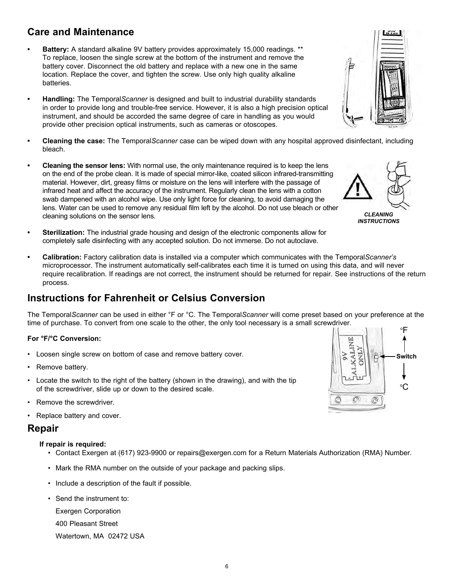The Temporal*Scanner* can be used in either °F or °C. The Temporal*Scanner* will come preset based on your preference at the time of purchase. To convert from one scale to the other, the only tool necessary is a small screwdriver.

### **For °F/°C Conversion:**

- Loosen single screw on bottom of case and remove battery cover.
- Remove battery.
- Locate the switch to the right of the battery (shown in the drawing), and with the tip of the screwdriver, slide up or down to the desired scale.
- Remove the screwdriver.
- Replace battery and cover.

### **Repair**

### **If repair is required:**

- Contact Exergen at (617) 923-9900 or repairs@exergen.com for a Return Materials Authorization (RMA) Number.
- Mark the RMA number on the outside of your package and packing slips.
- Include a description of the fault if possible.
- Send the instrument to:
	- Exergen Corporation
	- 400 Pleasant Street
	- Watertown, MA 02472 USA
- **Care and Maintenance**
	- **• Battery:** A standard alkaline 9V battery provides approximately 15,000 readings. \*\* To replace, loosen the single screw at the bottom of the instrument and remove the battery cover. Disconnect the old battery and replace with a new one in the same location. Replace the cover, and tighten the screw. Use only high quality alkaline batteries.
	- **• Handling:** The Temporal*Scanner* is designed and built to industrial durability standards in order to provide long and trouble-free service. However, it is also a high precision optical instrument, and should be accorded the same degree of care in handling as you would provide other precision optical instruments, such as cameras or otoscopes.
	- **• Cleaning the case:** The Temporal*Scanner* case can be wiped down with any hospital approved disinfectant, including bleach.
	- **• Cleaning the sensor lens:** With normal use, the only maintenance required is to keep the lens on the end of the probe clean. It is made of special mirror-like, coated silicon infrared-transmitting material. However, dirt, greasy films or moisture on the lens will interfere with the passage of infrared heat and affect the accuracy of the instrument. Regularly clean the lens with a cotton swab dampened with an alcohol wipe. Use only light force for cleaning, to avoid damaging the lens. Water can be used to remove any residual film left by the alcohol. Do not use bleach or other cleaning solutions on the sensor lens.
	- **• Sterilization:** The industrial grade housing and design of the electronic components allow for completely safe disinfecting with any accepted solution. Do not immerse. Do not autoclave.
	- **• Calibration:** Factory calibration data is installed via a computer which communicates with the Temporal*Scanner's* microprocessor. The instrument automatically self-calibrates each time it is turned on using this data, and will never require recalibration. If readings are not correct, the instrument should be returned for repair. See instructions of the return process.

## **Instructions for Fahrenheit or Celsius Conversion**

- 
- 







*INSTRUCTIONS*